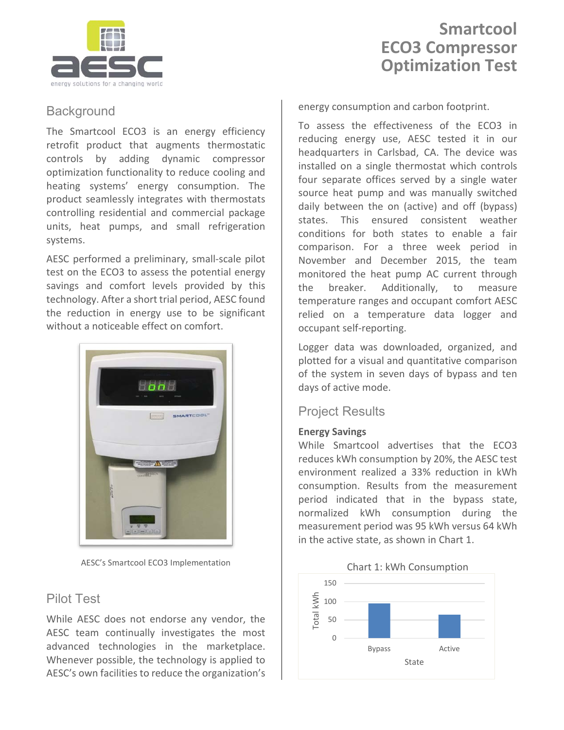

# **Smartcool ECO3 Compressor Optimization Test**

## **Background**

The Smartcool ECO3 is an energy efficiency retrofit product that augments thermostatic controls by adding dynamic compressor optimization functionality to reduce cooling and heating systems' energy consumption. The product seamlessly integrates with thermostats controlling residential and commercial package units, heat pumps, and small refrigeration systems.

AESC performed a preliminary, small-scale pilot test on the ECO3 to assess the potential energy savings and comfort levels provided by this technology. After a short trial period, AESC found the reduction in energy use to be significant without a noticeable effect on comfort.



AESC's Smartcool ECO3 Implementation

## Pilot Test

While AESC does not endorse any vendor, the AESC team continually investigates the most advanced technologies in the marketplace. Whenever possible, the technology is applied to AESC's own facilities to reduce the organization's

energy consumption and carbon footprint.

To assess the effectiveness of the ECO3 in reducing energy use, AESC tested it in our headquarters in Carlsbad, CA. The device was installed on a single thermostat which controls four separate offices served by a single water source heat pump and was manually switched daily between the on (active) and off (bypass) states. This ensured consistent weather conditions for both states to enable a fair comparison. For a three week period in November and December 2015, the team monitored the heat pump AC current through the breaker. Additionally, to measure temperature ranges and occupant comfort AESC relied on a temperature data logger and occupant self-reporting.

Logger data was downloaded, organized, and plotted for a visual and quantitative comparison of the system in seven days of bypass and ten days of active mode.

### Project Results

#### **Energy Savings**

While Smartcool advertises that the ECO3 reduces kWh consumption by 20%, the AESC test environment realized a 33% reduction in kWh consumption. Results from the measurement period indicated that in the bypass state, normalized kWh consumption during the measurement period was 95 kWh versus 64 kWh in the active state, as shown in Chart 1.